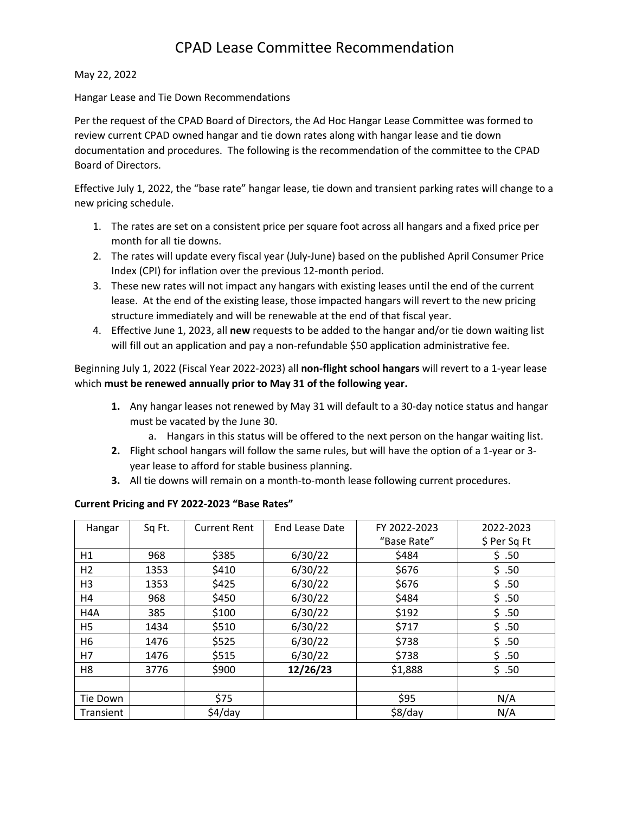# CPAD Lease Committee Recommendation

#### May 22, 2022

#### Hangar Lease and Tie Down Recommendations

Per the request of the CPAD Board of Directors, the Ad Hoc Hangar Lease Committee was formed to review current CPAD owned hangar and tie down rates along with hangar lease and tie down documentation and procedures. The following is the recommendation of the committee to the CPAD Board of Directors.

Effective July 1, 2022, the "base rate" hangar lease, tie down and transient parking rates will change to a new pricing schedule.

- 1. The rates are set on a consistent price per square foot across all hangars and a fixed price per month for all tie downs.
- 2. The rates will update every fiscal year (July-June) based on the published April Consumer Price Index (CPI) for inflation over the previous 12-month period.
- 3. These new rates will not impact any hangars with existing leases until the end of the current lease. At the end of the existing lease, those impacted hangars will revert to the new pricing structure immediately and will be renewable at the end of that fiscal year.
- 4. Effective June 1, 2023, all **new** requests to be added to the hangar and/or tie down waiting list will fill out an application and pay a non-refundable \$50 application administrative fee.

Beginning July 1, 2022 (Fiscal Year 2022-2023) all **non-flight school hangars** will revert to a 1-year lease which **must be renewed annually prior to May 31 of the following year.** 

- **1.** Any hangar leases not renewed by May 31 will default to a 30-day notice status and hangar must be vacated by the June 30.
	- a. Hangars in this status will be offered to the next person on the hangar waiting list.
- **2.** Flight school hangars will follow the same rules, but will have the option of a 1-year or 3 year lease to afford for stable business planning.
- **3.** All tie downs will remain on a month-to-month lease following current procedures.

#### **Current Pricing and FY 2022-2023 "Base Rates"**

| Hangar         | Sq Ft. | <b>Current Rent</b> | End Lease Date | FY 2022-2023 | 2022-2023    |
|----------------|--------|---------------------|----------------|--------------|--------------|
|                |        |                     |                | "Base Rate"  | \$ Per Sq Ft |
| H1             | 968    | \$385               | 6/30/22        | \$484        | \$.50        |
| H <sub>2</sub> | 1353   | \$410               | 6/30/22        | \$676        | \$.50        |
| H <sub>3</sub> | 1353   | \$425               | 6/30/22        | \$676        | \$.50        |
| H4             | 968    | \$450               | 6/30/22        | \$484        | \$.50        |
| H4A            | 385    | \$100               | 6/30/22        | \$192        | \$.50        |
| H <sub>5</sub> | 1434   | \$510               | 6/30/22        | \$717        | \$.50        |
| H6             | 1476   | \$525               | 6/30/22        | \$738        | \$.50        |
| H7             | 1476   | \$515               | 6/30/22        | \$738        | \$.50        |
| H <sub>8</sub> | 3776   | \$900               | 12/26/23       | \$1,888      | \$.50        |
|                |        |                     |                |              |              |
| Tie Down       |        | \$75                |                | \$95         | N/A          |
| Transient      |        | $$4$ /day           |                | \$8/day      | N/A          |